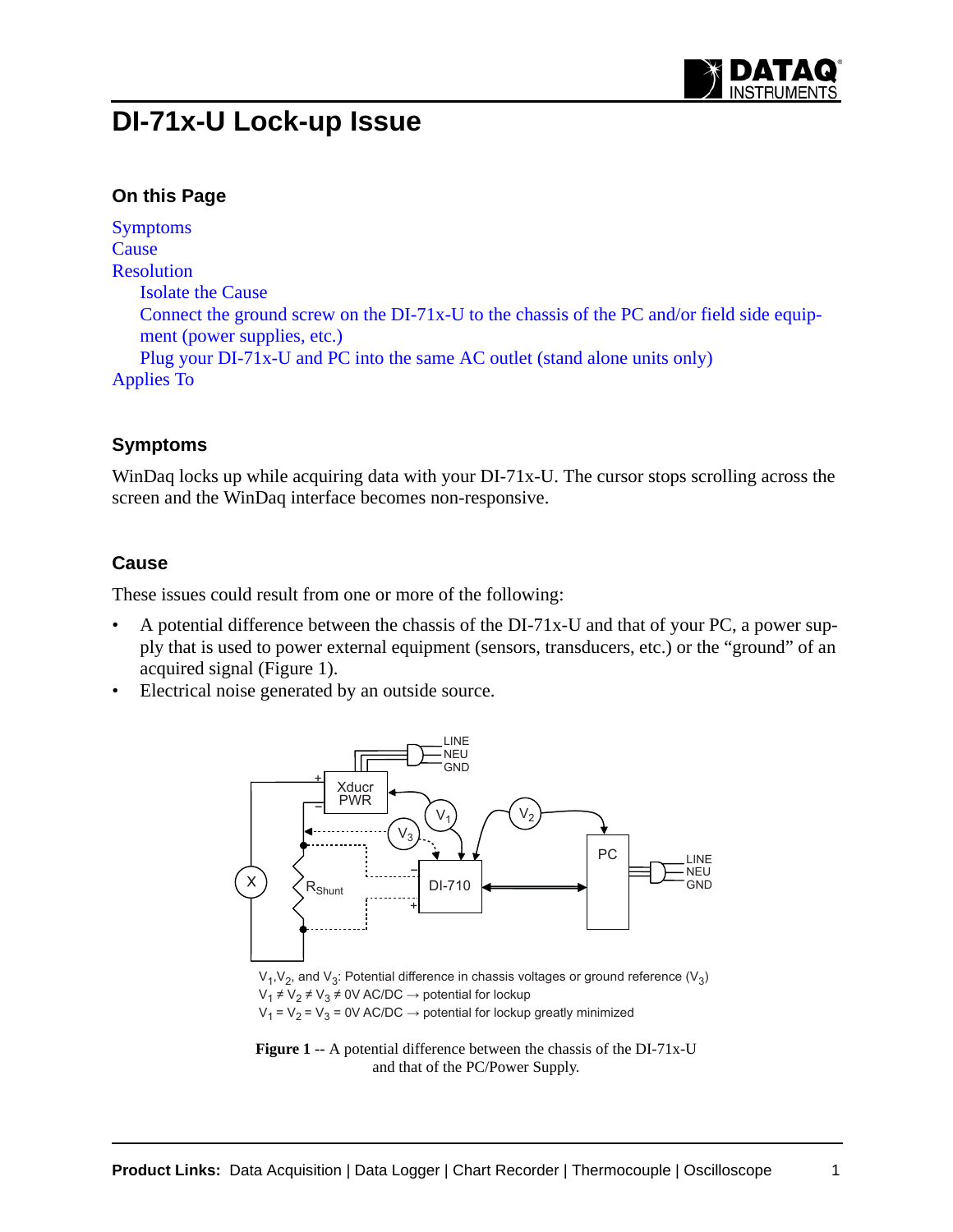

# **DI-71x-U Lock-up Issue**

## **On this Page**

[Symptoms](#page-0-0) **[Cause](#page-0-1)** [Resolution](#page-1-0) [Isolate the Cause](#page-1-2) [Connect the ground screw on the DI-71x-U to the chassis of the PC and/or field side equip](#page-1-1)[ment \(power supplies, etc.\)](#page-1-1) [Plug your DI-71x-U and PC into the same AC outlet \(stand alone units only\)](#page-1-3) [Applies To](#page-2-0)

#### <span id="page-0-0"></span>**Symptoms**

WinDaq locks up while acquiring data with your DI-71x-U. The cursor stops scrolling across the screen and the WinDaq interface becomes non-responsive.

### <span id="page-0-1"></span>**Cause**

These issues could result from one or more of the following:

- A potential difference between the chassis of the DI-71x-U and that of your PC, a power supply that is used to power external equipment (sensors, transducers, etc.) or the "ground" of an acquired signal (Figure 1).
- Electrical noise generated by an outside source.



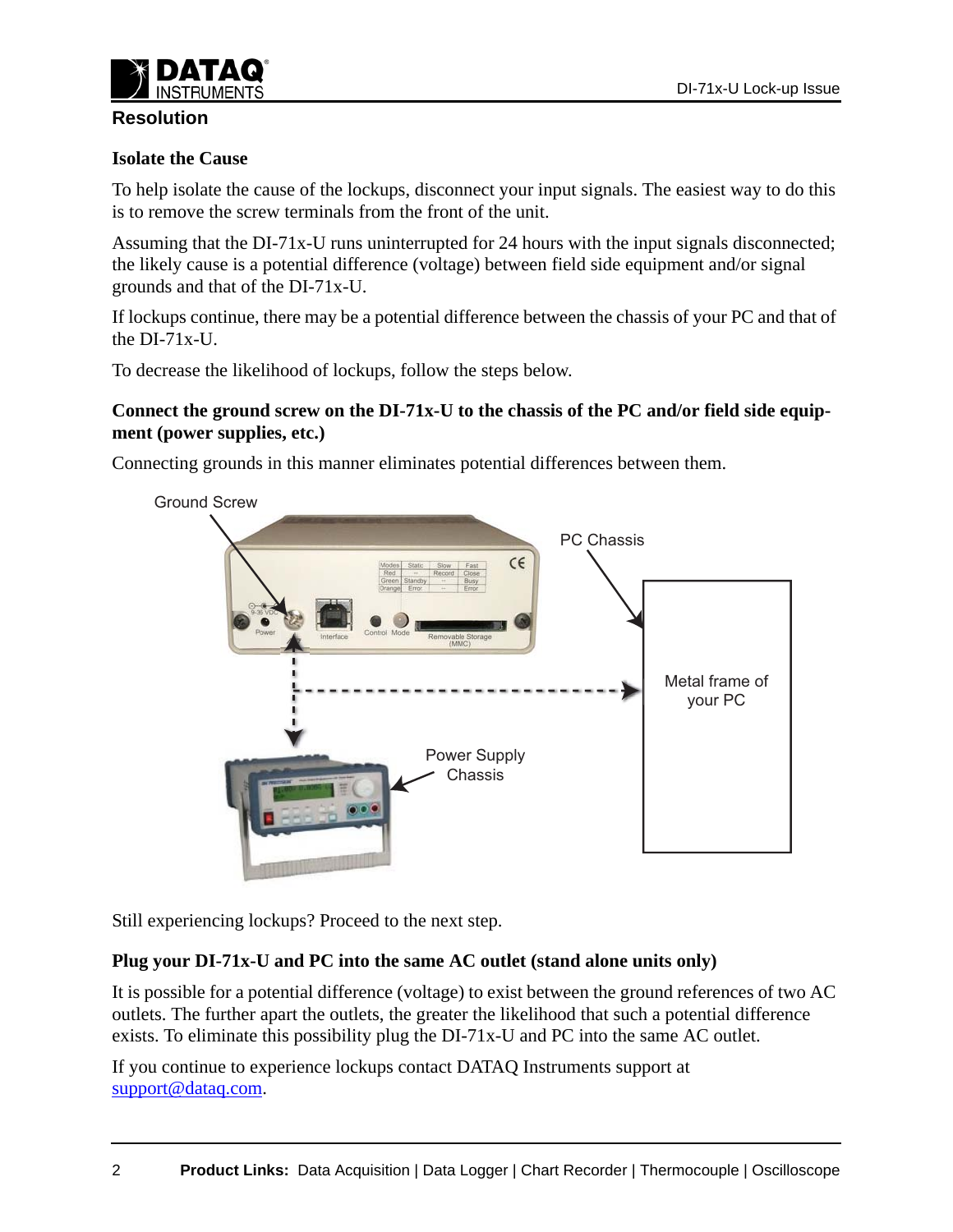

### <span id="page-1-0"></span>**Resolution**

#### <span id="page-1-2"></span>**Isolate the Cause**

To help isolate the cause of the lockups, disconnect your input signals. The easiest way to do this is to remove the screw terminals from the front of the unit.

Assuming that the DI-71x-U runs uninterrupted for 24 hours with the input signals disconnected; the likely cause is a potential difference (voltage) between field side equipment and/or signal grounds and that of the DI-71x-U.

If lockups continue, there may be a potential difference between the chassis of your PC and that of the DI-71x-U.

To decrease the likelihood of lockups, follow the steps below.

#### <span id="page-1-1"></span>**Connect the ground screw on the DI-71x-U to the chassis of the PC and/or field side equipment (power supplies, etc.)**

Connecting grounds in this manner eliminates potential differences between them.



Still experiencing lockups? Proceed to the next step.

#### <span id="page-1-3"></span>**Plug your DI-71x-U and PC into the same AC outlet (stand alone units only)**

It is possible for a potential difference (voltage) to exist between the ground references of two AC outlets. The further apart the outlets, the greater the likelihood that such a potential difference exists. To eliminate this possibility plug the DI-71x-U and PC into the same AC outlet.

[If you continue to experience lockups contact DATAQ Instruments support at](mailto:support@dataq.com)  support@dataq.com.